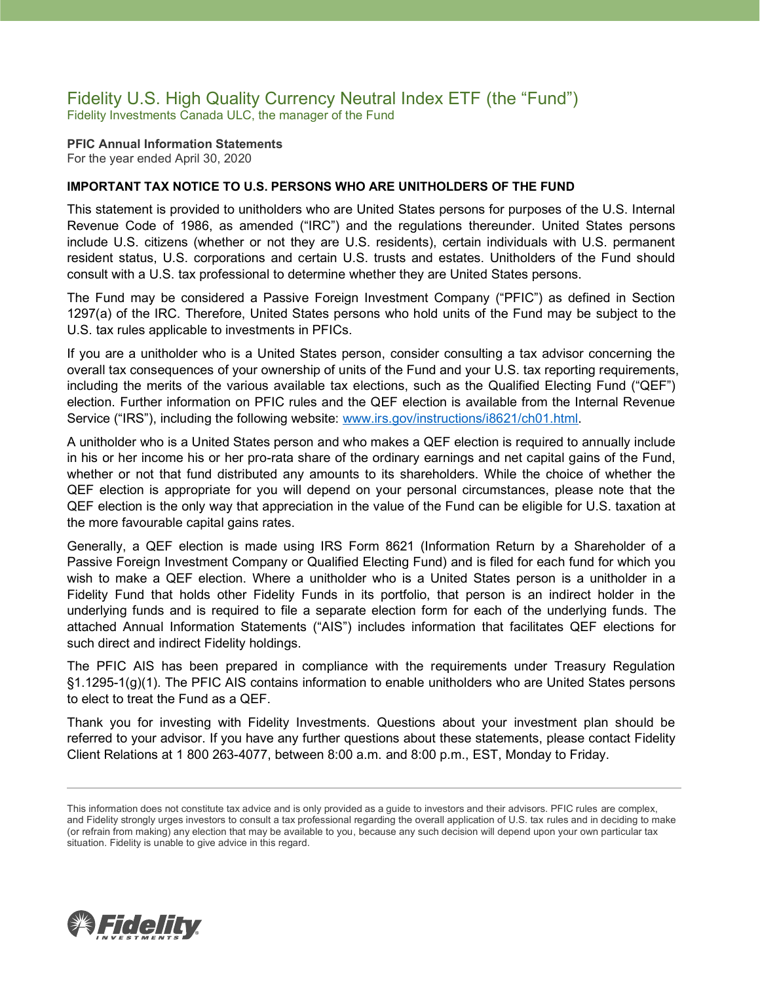### Fidelity U.S. High Quality Currency Neutral Index ETF (the "Fund") Fidelity Investments Canada ULC, the manager of the Fund

**PFIC Annual Information Statements** For the year ended April 30, 2020

### **IMPORTANT TAX NOTICE TO U.S. PERSONS WHO ARE UNITHOLDERS OF THE FUND**

This statement is provided to unitholders who are United States persons for purposes of the U.S. Internal Revenue Code of 1986, as amended ("IRC") and the regulations thereunder. United States persons include U.S. citizens (whether or not they are U.S. residents), certain individuals with U.S. permanent resident status, U.S. corporations and certain U.S. trusts and estates. Unitholders of the Fund should consult with a U.S. tax professional to determine whether they are United States persons.

The Fund may be considered a Passive Foreign Investment Company ("PFIC") as defined in Section 1297(a) of the IRC. Therefore, United States persons who hold units of the Fund may be subject to the U.S. tax rules applicable to investments in PFICs.

If you are a unitholder who is a United States person, consider consulting a tax advisor concerning the overall tax consequences of your ownership of units of the Fund and your U.S. tax reporting requirements, including the merits of the various available tax elections, such as the Qualified Electing Fund ("QEF") election. Further information on PFIC rules and the QEF election is available from the Internal Revenue Service ("IRS"), including the following website: [www.irs.gov/instructions/i8621/ch01.html.](http://www.irs.gov/instructions/i8621/ch01.html)

A unitholder who is a United States person and who makes a QEF election is required to annually include in his or her income his or her pro-rata share of the ordinary earnings and net capital gains of the Fund, whether or not that fund distributed any amounts to its shareholders. While the choice of whether the QEF election is appropriate for you will depend on your personal circumstances, please note that the QEF election is the only way that appreciation in the value of the Fund can be eligible for U.S. taxation at the more favourable capital gains rates.

Generally, a QEF election is made using IRS Form 8621 (Information Return by a Shareholder of a Passive Foreign Investment Company or Qualified Electing Fund) and is filed for each fund for which you wish to make a QEF election. Where a unitholder who is a United States person is a unitholder in a Fidelity Fund that holds other Fidelity Funds in its portfolio, that person is an indirect holder in the underlying funds and is required to file a separate election form for each of the underlying funds. The attached Annual Information Statements ("AIS") includes information that facilitates QEF elections for such direct and indirect Fidelity holdings.

The PFIC AIS has been prepared in compliance with the requirements under Treasury Regulation §1.1295-1(g)(1). The PFIC AIS contains information to enable unitholders who are United States persons to elect to treat the Fund as a QEF.

Thank you for investing with Fidelity Investments. Questions about your investment plan should be referred to your advisor. If you have any further questions about these statements, please contact Fidelity Client Relations at 1 800 263-4077, between 8:00 a.m. and 8:00 p.m., EST, Monday to Friday.



This information does not constitute tax advice and is only provided as a guide to investors and their advisors. PFIC rules are complex, and Fidelity strongly urges investors to consult a tax professional regarding the overall application of U.S. tax rules and in deciding to make (or refrain from making) any election that may be available to you, because any such decision will depend upon your own particular tax situation. Fidelity is unable to give advice in this regard.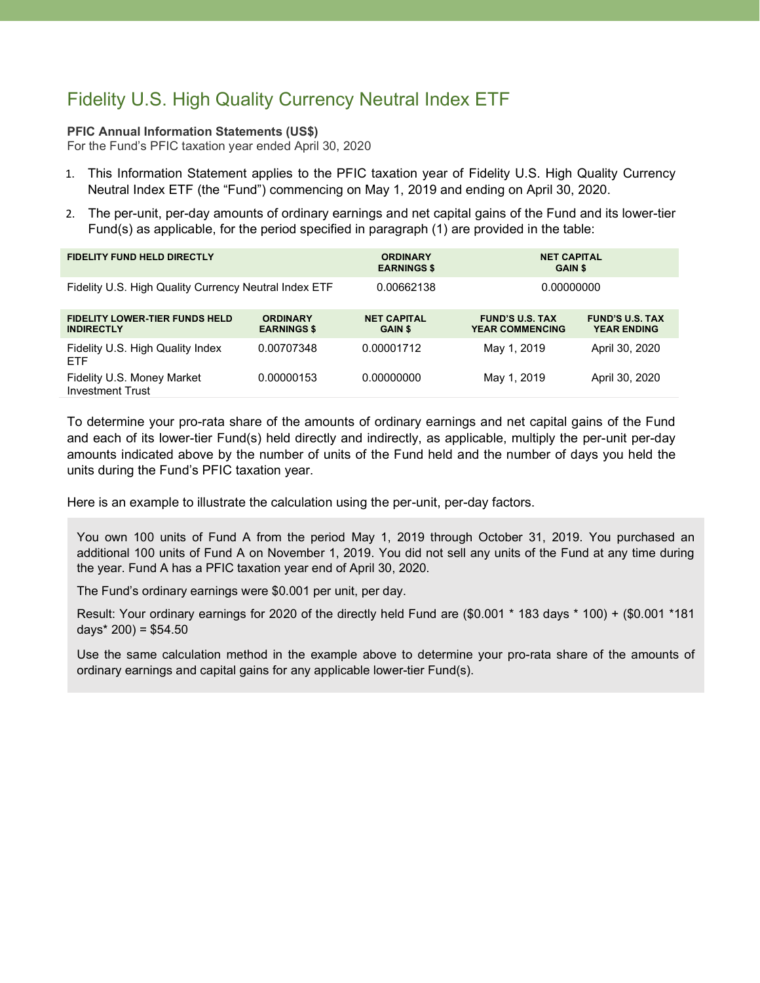# Fidelity U.S. High Quality Currency Neutral Index ETF

### **PFIC Annual Information Statements (US\$)**

For the Fund's PFIC taxation year ended April 30, 2020

- 1. This Information Statement applies to the PFIC taxation year of Fidelity U.S. High Quality Currency Neutral Index ETF (the "Fund") commencing on May 1, 2019 and ending on April 30, 2020.
- 2. The per-unit, per-day amounts of ordinary earnings and net capital gains of the Fund and its lower-tier Fund(s) as applicable, for the period specified in paragraph (1) are provided in the table:

| <b>FIDELITY FUND HELD DIRECTLY</b>                         |                                       | <b>ORDINARY</b><br><b>EARNINGS \$</b> | <b>NET CAPITAL</b><br><b>GAIN \$</b>             |                                              |
|------------------------------------------------------------|---------------------------------------|---------------------------------------|--------------------------------------------------|----------------------------------------------|
| Fidelity U.S. High Quality Currency Neutral Index ETF      |                                       | 0.00662138                            | 0.00000000                                       |                                              |
| <b>FIDELITY LOWER-TIER FUNDS HELD</b><br><b>INDIRECTLY</b> | <b>ORDINARY</b><br><b>EARNINGS \$</b> | <b>NET CAPITAL</b><br><b>GAIN \$</b>  | <b>FUND'S U.S. TAX</b><br><b>YEAR COMMENCING</b> | <b>FUND'S U.S. TAX</b><br><b>YEAR ENDING</b> |
| Fidelity U.S. High Quality Index<br>ETF                    | 0.00707348                            | 0.00001712                            | May 1, 2019                                      | April 30, 2020                               |
| Fidelity U.S. Money Market<br><b>Investment Trust</b>      | 0.00000153                            | 0.00000000                            | May 1, 2019                                      | April 30, 2020                               |

To determine your pro-rata share of the amounts of ordinary earnings and net capital gains of the Fund and each of its lower-tier Fund(s) held directly and indirectly, as applicable, multiply the per-unit per-day amounts indicated above by the number of units of the Fund held and the number of days you held the units during the Fund's PFIC taxation year.

Here is an example to illustrate the calculation using the per-unit, per-day factors.

You own 100 units of Fund A from the period May 1, 2019 through October 31, 2019. You purchased an additional 100 units of Fund A on November 1, 2019. You did not sell any units of the Fund at any time during the year. Fund A has a PFIC taxation year end of April 30, 2020.

The Fund's ordinary earnings were \$0.001 per unit, per day.

Result: Your ordinary earnings for 2020 of the directly held Fund are (\$0.001 \* 183 days \* 100) + (\$0.001 \*181 days $*$  200) = \$54.50

Use the same calculation method in the example above to determine your pro-rata share of the amounts of ordinary earnings and capital gains for any applicable lower-tier Fund(s).